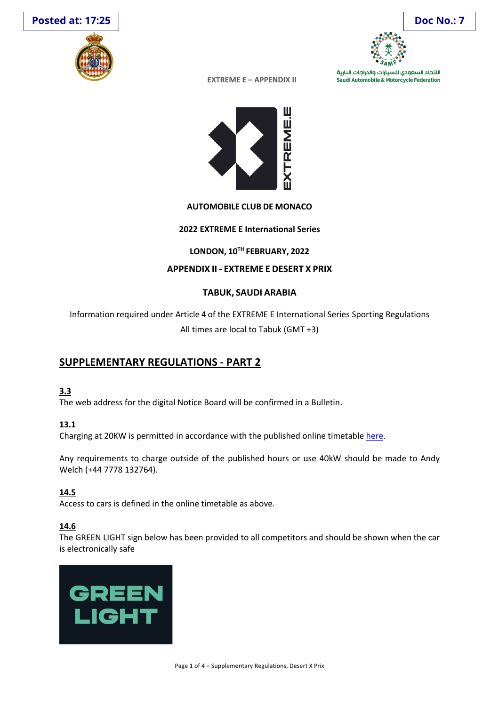





اللتحاد السعودي للسيارات والدراجات النارية Saudi Automobile & Motorcycle Federation

**EXTREME E – APPENDIX II**



### **AUTOMOBILE CLUB DE MONACO**

### **2022 EXTREME E International Series**

## **LONDON, 10TH FEBRUARY, 2022**

## **APPENDIX II - EXTREME E DESERT X PRIX**

## **TABUK, SAUDI ARABIA**

Information required under Article 4 of the EXTREME E International Series Sporting Regulations All times are local to Tabuk (GMT +3)

# **SUPPLEMENTARY REGULATIONS - PART 2**

## **3.3**

The web address for the digital Notice Board will be confirmed in a Bulletin.

## **13.1**

Charging at 20KW is permitted in accordance with the published online timetable here.

Any requirements to charge outside of the published hours or use 40kW should be made to Andy Welch (+44 7778 132764).

## **14.5**

Access to cars is defined in the online timetable as above.

## **14.6**

The GREEN LIGHT sign below has been provided to all competitors and should be shown when the car is electronically safe

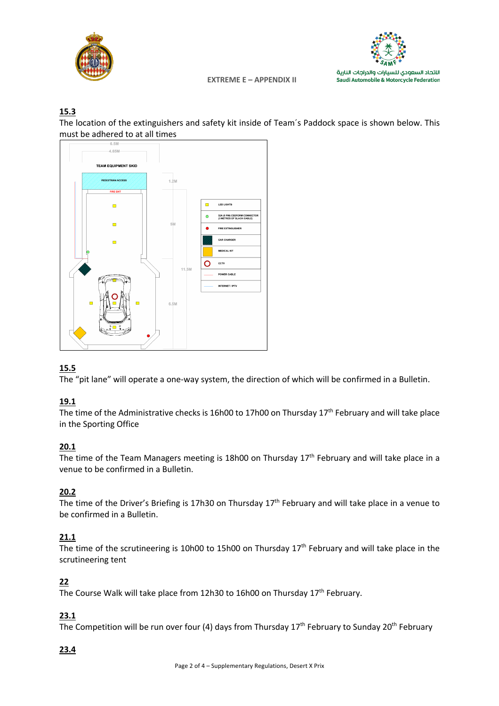



#### **EXTREME E - APPENDIX II**

## $15.3$

The location of the extinguishers and safety kit inside of Team's Paddock space is shown below. This must be adhered to at all times



## 15.5

The "pit lane" will operate a one-way system, the direction of which will be confirmed in a Bulletin.

## 19.1

The time of the Administrative checks is 16h00 to 17h00 on Thursday 17<sup>th</sup> February and will take place in the Sporting Office

## $20.1$

The time of the Team Managers meeting is 18h00 on Thursday 17<sup>th</sup> February and will take place in a venue to be confirmed in a Bulletin.

## 20.2

The time of the Driver's Briefing is 17h30 on Thursday 17<sup>th</sup> February and will take place in a venue to be confirmed in a Bulletin.

## $21.1$

The time of the scrutineering is 10h00 to 15h00 on Thursday 17<sup>th</sup> February and will take place in the scrutineering tent

## $22$

The Course Walk will take place from 12h30 to 16h00 on Thursday 17<sup>th</sup> February.

## 23.1

The Competition will be run over four (4) days from Thursday  $17^{th}$  February to Sunday 20<sup>th</sup> February

## 23.4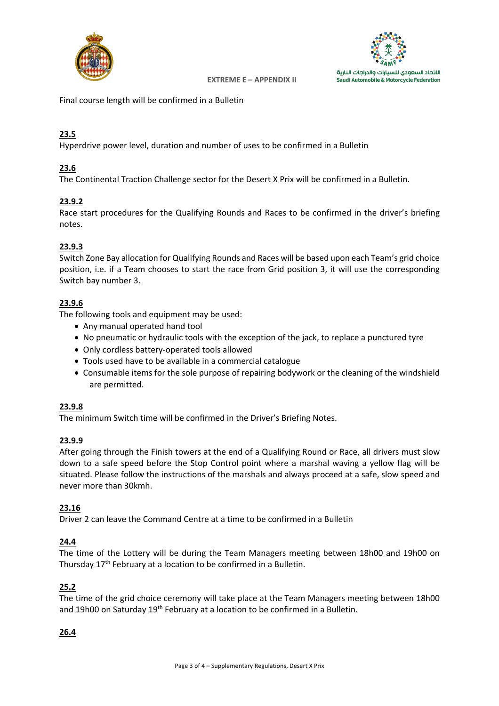



**EXTREME E - APPENDIX II** 

Final course length will be confirmed in a Bulletin

## 23.5

Hyperdrive power level, duration and number of uses to be confirmed in a Bulletin

## 23.6

The Continental Traction Challenge sector for the Desert X Prix will be confirmed in a Bulletin.

## 23.9.2

Race start procedures for the Qualifying Rounds and Races to be confirmed in the driver's briefing notes.

## 23.9.3

Switch Zone Bay allocation for Qualifying Rounds and Races will be based upon each Team's grid choice position, i.e. if a Team chooses to start the race from Grid position 3, it will use the corresponding Switch bay number 3.

## 23.9.6

The following tools and equipment may be used:

- Any manual operated hand tool
- No pneumatic or hydraulic tools with the exception of the jack, to replace a punctured tyre
- Only cordless battery-operated tools allowed
- Tools used have to be available in a commercial catalogue
- Consumable items for the sole purpose of repairing bodywork or the cleaning of the windshield are permitted.

#### 23.9.8

The minimum Switch time will be confirmed in the Driver's Briefing Notes.

#### 23.9.9

After going through the Finish towers at the end of a Qualifying Round or Race, all drivers must slow down to a safe speed before the Stop Control point where a marshal waving a yellow flag will be situated. Please follow the instructions of the marshals and always proceed at a safe, slow speed and never more than 30kmh.

#### 23.16

Driver 2 can leave the Command Centre at a time to be confirmed in a Bulletin

#### 24.4

The time of the Lottery will be during the Team Managers meeting between 18h00 and 19h00 on Thursday 17<sup>th</sup> February at a location to be confirmed in a Bulletin.

#### 25.2

The time of the grid choice ceremony will take place at the Team Managers meeting between 18h00 and 19h00 on Saturday 19<sup>th</sup> February at a location to be confirmed in a Bulletin.

#### 26.4